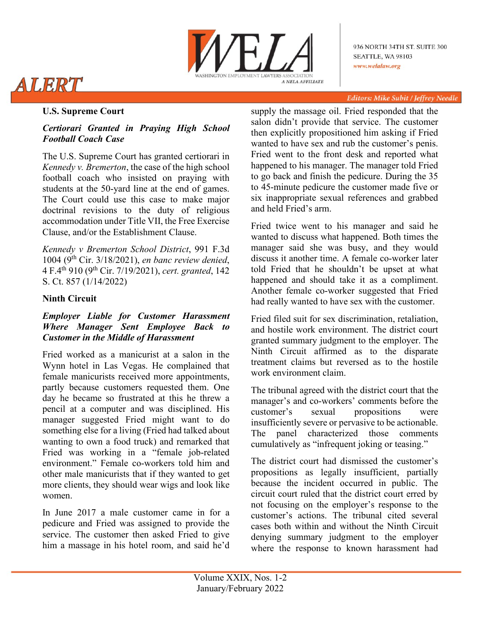

# ALERT

#### Editors: Mike Subit / Jeffrey Needle

## **U.S. Supreme Court**

## *Certiorari Granted in Praying High School Football Coach Case*

The U.S. Supreme Court has granted certiorari in *Kennedy v. Bremerton*, the case of the high school football coach who insisted on praying with students at the 50-yard line at the end of games. The Court could use this case to make major doctrinal revisions to the duty of religious accommodation under Title VII, the Free Exercise Clause, and/or the Establishment Clause.

*Kennedy v Bremerton School District*, 991 F.3d 1004 (9th Cir. 3/18/2021), *en banc review denied*, 4 F.4th 910 (9th Cir. 7/19/2021), *cert. granted*, 142 S. Ct. 857 (1/14/2022)

# **Ninth Circuit**

### *Employer Liable for Customer Harassment Where Manager Sent Employee Back to Customer in the Middle of Harassment*

Fried worked as a manicurist at a salon in the Wynn hotel in Las Vegas. He complained that female manicurists received more appointments, partly because customers requested them. One day he became so frustrated at this he threw a pencil at a computer and was disciplined. His manager suggested Fried might want to do something else for a living (Fried had talked about wanting to own a food truck) and remarked that Fried was working in a "female job-related environment." Female co-workers told him and other male manicurists that if they wanted to get more clients, they should wear wigs and look like women.

In June 2017 a male customer came in for a pedicure and Fried was assigned to provide the service. The customer then asked Fried to give him a massage in his hotel room, and said he'd

supply the massage oil. Fried responded that the salon didn't provide that service. The customer then explicitly propositioned him asking if Fried wanted to have sex and rub the customer's penis. Fried went to the front desk and reported what happened to his manager. The manager told Fried to go back and finish the pedicure. During the 35 to 45-minute pedicure the customer made five or six inappropriate sexual references and grabbed and held Fried's arm.

Fried twice went to his manager and said he wanted to discuss what happened. Both times the manager said she was busy, and they would discuss it another time. A female co-worker later told Fried that he shouldn't be upset at what happened and should take it as a compliment. Another female co-worker suggested that Fried had really wanted to have sex with the customer.

Fried filed suit for sex discrimination, retaliation, and hostile work environment. The district court granted summary judgment to the employer. The Ninth Circuit affirmed as to the disparate treatment claims but reversed as to the hostile work environment claim.

The tribunal agreed with the district court that the manager's and co-workers' comments before the customer's sexual propositions were insufficiently severe or pervasive to be actionable. The panel characterized those comments cumulatively as "infrequent joking or teasing."

The district court had dismissed the customer's propositions as legally insufficient, partially because the incident occurred in public. The circuit court ruled that the district court erred by not focusing on the employer's response to the customer's actions. The tribunal cited several cases both within and without the Ninth Circuit denying summary judgment to the employer where the response to known harassment had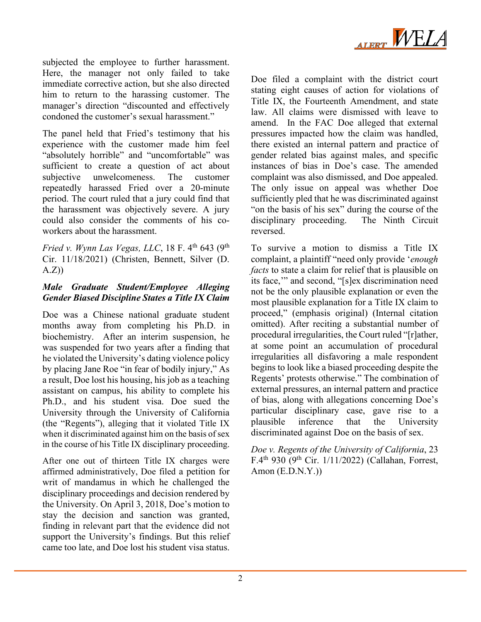

subjected the employee to further harassment. Here, the manager not only failed to take immediate corrective action, but she also directed him to return to the harassing customer. The manager's direction "discounted and effectively condoned the customer's sexual harassment."

The panel held that Fried's testimony that his experience with the customer made him feel "absolutely horrible" and "uncomfortable" was sufficient to create a question of act about subjective unwelcomeness. The customer repeatedly harassed Fried over a 20-minute period. The court ruled that a jury could find that the harassment was objectively severe. A jury could also consider the comments of his coworkers about the harassment.

*Fried v. Wynn Las Vegas, LLC*, 18 F. 4<sup>th</sup> 643 (9<sup>th</sup>) Cir. 11/18/2021) (Christen, Bennett, Silver (D.  $(A.Z)$ 

## *Male Graduate Student/Employee Alleging Gender Biased Discipline States a Title IX Claim*

Doe was a Chinese national graduate student months away from completing his Ph.D. in biochemistry. After an interim suspension, he was suspended for two years after a finding that he violated the University's dating violence policy by placing Jane Roe "in fear of bodily injury," As a result, Doe lost his housing, his job as a teaching assistant on campus, his ability to complete his Ph.D., and his student visa. Doe sued the University through the University of California (the "Regents"), alleging that it violated Title IX when it discriminated against him on the basis of sex in the course of his Title IX disciplinary proceeding.

After one out of thirteen Title IX charges were affirmed administratively, Doe filed a petition for writ of mandamus in which he challenged the disciplinary proceedings and decision rendered by the University. On April 3, 2018, Doe's motion to stay the decision and sanction was granted, finding in relevant part that the evidence did not support the University's findings. But this relief came too late, and Doe lost his student visa status.

Doe filed a complaint with the district court stating eight causes of action for violations of Title IX, the Fourteenth Amendment, and state law. All claims were dismissed with leave to amend. In the FAC Doe alleged that external pressures impacted how the claim was handled, there existed an internal pattern and practice of gender related bias against males, and specific instances of bias in Doe's case. The amended complaint was also dismissed, and Doe appealed. The only issue on appeal was whether Doe sufficiently pled that he was discriminated against "on the basis of his sex" during the course of the disciplinary proceeding. The Ninth Circuit reversed.

To survive a motion to dismiss a Title IX complaint, a plaintiff "need only provide '*enough facts* to state a claim for relief that is plausible on its face,'" and second, "[s]ex discrimination need not be the only plausible explanation or even the most plausible explanation for a Title IX claim to proceed," (emphasis original) (Internal citation omitted). After reciting a substantial number of procedural irregularities, the Court ruled "[r]ather, at some point an accumulation of procedural irregularities all disfavoring a male respondent begins to look like a biased proceeding despite the Regents' protests otherwise." The combination of external pressures, an internal pattern and practice of bias, along with allegations concerning Doe's particular disciplinary case, gave rise to a plausible inference that the University discriminated against Doe on the basis of sex.

*Doe v. Regents of the University of California*, 23 F.4<sup>th</sup> 930 (9<sup>th</sup> Cir. 1/11/2022) (Callahan, Forrest, Amon  $(E.D.N.Y.)$ )